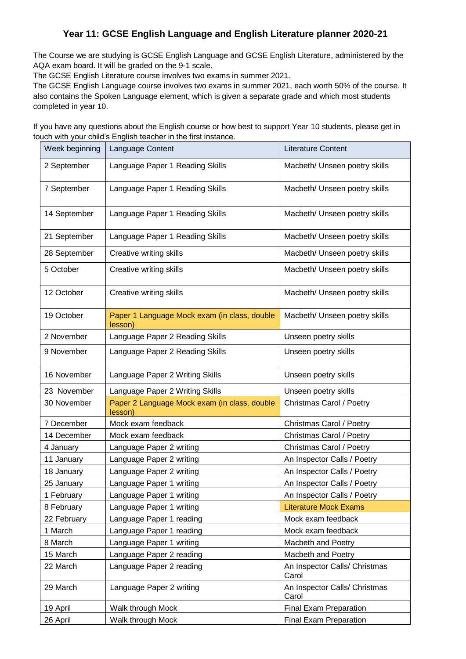## **Year 11: GCSE English Language and English Literature planner 2020-21**

The Course we are studying is GCSE English Language and GCSE English Literature, administered by the AQA exam board. It will be graded on the 9-1 scale.

The GCSE English Literature course involves two exams in summer 2021.

The GCSE English Language course involves two exams in summer 2021, each worth 50% of the course. It also contains the Spoken Language element, which is given a separate grade and which most students completed in year 10.

If you have any questions about the English course or how best to support Year 10 students, please get in touch with your child's English teacher in the first instance.

| Week beginning | Language Content                                        | <b>Literature Content</b>              |
|----------------|---------------------------------------------------------|----------------------------------------|
| 2 September    | Language Paper 1 Reading Skills                         | Macbeth/ Unseen poetry skills          |
| 7 September    | Language Paper 1 Reading Skills                         | Macbeth/ Unseen poetry skills          |
| 14 September   | Language Paper 1 Reading Skills                         | Macbeth/ Unseen poetry skills          |
| 21 September   | Language Paper 1 Reading Skills                         | Macbeth/ Unseen poetry skills          |
| 28 September   | Creative writing skills                                 | Macbeth/ Unseen poetry skills          |
| 5 October      | Creative writing skills                                 | Macbeth/ Unseen poetry skills          |
| 12 October     | Creative writing skills                                 | Macbeth/ Unseen poetry skills          |
| 19 October     | Paper 1 Language Mock exam (in class, double<br>lesson) | Macbeth/ Unseen poetry skills          |
| 2 November     | Language Paper 2 Reading Skills                         | Unseen poetry skills                   |
| 9 November     | Language Paper 2 Reading Skills                         | Unseen poetry skills                   |
| 16 November    | Language Paper 2 Writing Skills                         | Unseen poetry skills                   |
| 23 November    | Language Paper 2 Writing Skills                         | Unseen poetry skills                   |
| 30 November    | Paper 2 Language Mock exam (in class, double<br>lesson) | Christmas Carol / Poetry               |
| 7 December     | Mock exam feedback                                      | Christmas Carol / Poetry               |
| 14 December    | Mock exam feedback                                      | Christmas Carol / Poetry               |
| 4 January      | Language Paper 2 writing                                | Christmas Carol / Poetry               |
| 11 January     | Language Paper 2 writing                                | An Inspector Calls / Poetry            |
| 18 January     | Language Paper 2 writing                                | An Inspector Calls / Poetry            |
| 25 January     | Language Paper 1 writing                                | An Inspector Calls / Poetry            |
| 1 February     | Language Paper 1 writing                                | An Inspector Calls / Poetry            |
| 8 February     | Language Paper 1 writing                                | <b>Literature Mock Exams</b>           |
| 22 February    | Language Paper 1 reading                                | Mock exam feedback                     |
| 1 March        | Language Paper 1 reading                                | Mock exam feedback                     |
| 8 March        | Language Paper 1 writing                                | Macbeth and Poetry                     |
| 15 March       | Language Paper 2 reading                                | Macbeth and Poetry                     |
| 22 March       | Language Paper 2 reading                                | An Inspector Calls/ Christmas<br>Carol |
| 29 March       | Language Paper 2 writing                                | An Inspector Calls/ Christmas<br>Carol |
| 19 April       | Walk through Mock                                       | Final Exam Preparation                 |
| 26 April       | Walk through Mock                                       | Final Exam Preparation                 |